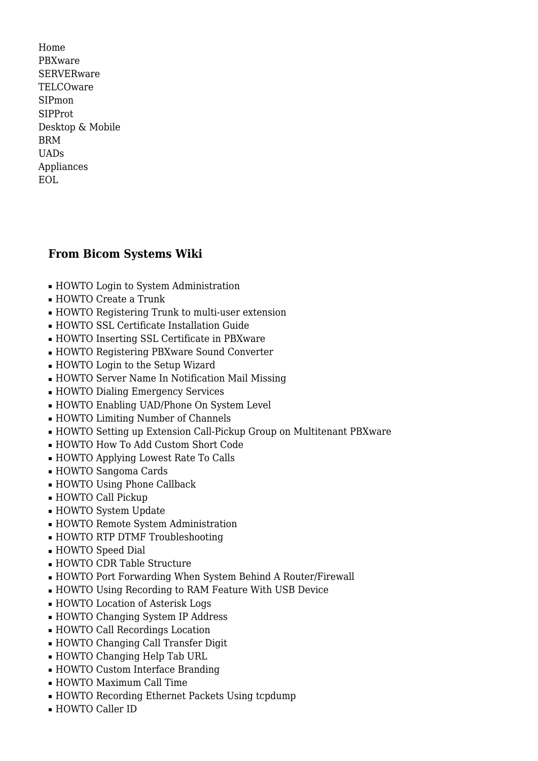[Home](http://wiki.bicomsystems.com/Main_Page) [PBXware](http://wiki.bicomsystems.com/PBXware) **[SERVERware](http://wiki.bicomsystems.com/SERVERware)** [TELCOware](http://wiki.bicomsystems.com/TELCOware) [SIPmon](http://wiki.bicomsystems.com/SIPmon) [SIPProt](http://wiki.bicomsystems.com/SIPProt) [Desktop & Mobile](http://wiki.bicomsystems.com/Desktop_and_Mobile) [BRM](http://wiki.bicomsystems.com/BRM) [UADs](http://wiki.bicomsystems.com/UADs) [Appliances](http://wiki.bicomsystems.com/Appliances) [EOL](http://wiki.bicomsystems.com/EOL)

## **From Bicom Systems Wiki**

- [HOWTO Login to System Administration](http://wiki.bicomsystems.com/HOWTO_Login_to_System_Administration)
- [HOWTO Create a Trunk](http://wiki.bicomsystems.com/HOWTO_Create_a_Trunk)
- [HOWTO Registering Trunk to multi-user extension](http://wiki.bicomsystems.com/HOWTO_Registering_Trunk_to_multi-user_extension)
- [HOWTO SSL Certificate Installation Guide](http://wiki.bicomsystems.com/HOWTO_SSL_Certificate_Installation_Guide)
- [HOWTO Inserting SSL Certificate in PBXware](http://wiki.bicomsystems.com/HOWTO_Inserting_SSL_Certificate_in_PBXware)
- [HOWTO Registering PBXware Sound Converter](http://wiki.bicomsystems.com/HOWTO_Registering_PBXware_Sound_Converter)
- [HOWTO Login to the Setup Wizard](http://wiki.bicomsystems.com/HOWTO_Login_to_the_Setup_Wizard)
- [HOWTO Server Name In Notification Mail Missing](http://wiki.bicomsystems.com/HOWTO_Server_Name_In_Notification_Mail_Missing)
- [HOWTO Dialing Emergency Services](http://wiki.bicomsystems.com/HOWTO_Dialing_Emergency_Services)
- [HOWTO Enabling UAD/Phone On System Level](http://wiki.bicomsystems.com/HOWTO_Enabling_UAD/Phone_On_System_Level)
- [HOWTO Limiting Number of Channels](http://wiki.bicomsystems.com/HOWTO_Limiting_Number_of_Channels)
- [HOWTO Setting up Extension Call-Pickup Group on Multitenant PBXware](http://wiki.bicomsystems.com/HOWTO_Setting_up_Extension_Call-Pickup_Group_on_Multitenant_PBXware)
- [HOWTO How To Add Custom Short Code](http://wiki.bicomsystems.com/HOWTO_How_To_Add_Custom_Short_Code)
- [HOWTO Applying Lowest Rate To Calls](http://wiki.bicomsystems.com/HOWTO_Applying_Lowest_Rate_To_Calls)
- [HOWTO Sangoma Cards](http://wiki.bicomsystems.com/HOWTO_Sangoma_Cards)
- [HOWTO Using Phone Callback](http://wiki.bicomsystems.com/HOWTO_Using_Phone_Callback)
- [HOWTO Call Pickup](http://wiki.bicomsystems.com/HOWTO_Call_Pickup)
- [HOWTO System Update](http://wiki.bicomsystems.com/HOWTO_System_Update)
- [HOWTO Remote System Administration](http://wiki.bicomsystems.com/HOWTO_Remote_System_Administration)
- [HOWTO RTP DTMF Troubleshooting](http://wiki.bicomsystems.com/HOWTO_RTP_DTMF_Troubleshooting)
- [HOWTO Speed Dial](http://wiki.bicomsystems.com/HOWTO_Speed_Dial)
- [HOWTO CDR Table Structure](http://wiki.bicomsystems.com/HOWTO_CDR_Table_Structure)
- [HOWTO Port Forwarding When System Behind A Router/Firewall](http://wiki.bicomsystems.com/HOWTO_Port_Forwarding_When_System_Behind_A_Router/Firewall)
- [HOWTO Using Recording to RAM Feature With USB Device](http://wiki.bicomsystems.com/HOWTO_Using_Recording_to_RAM_Feature_With_USB_Device)
- [HOWTO Location of Asterisk Logs](http://wiki.bicomsystems.com/HOWTO_Location_of_Asterisk_Logs)
- [HOWTO Changing System IP Address](http://wiki.bicomsystems.com/HOWTO_Changing_System_IP_Address)
- [HOWTO Call Recordings Location](http://wiki.bicomsystems.com/HOWTO_Call_Recordings_Location)
- [HOWTO Changing Call Transfer Digit](http://wiki.bicomsystems.com/HOWTO_Changing_Call_Transfer_Digit)
- [HOWTO Changing Help Tab URL](http://wiki.bicomsystems.com/HOWTO_Changing_Help_Tab_URL)
- [HOWTO Custom Interface Branding](http://wiki.bicomsystems.com/HOWTO_Custom_Interface_Branding)
- [HOWTO Maximum Call Time](http://wiki.bicomsystems.com/HOWTO_Maximum_Call_Time)
- [HOWTO Recording Ethernet Packets Using tcpdump](http://wiki.bicomsystems.com/HOWTO_Recording_Ethernet_Packets_Using_tcpdump)
- [HOWTO Caller ID](http://wiki.bicomsystems.com/HOWTO_Caller_ID)